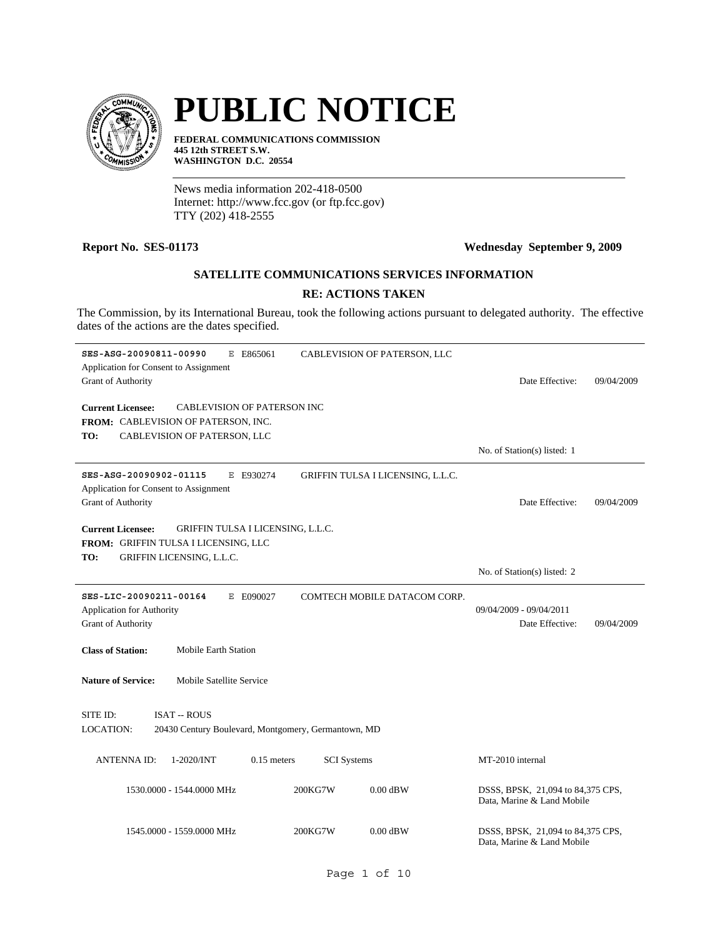

# **PUBLIC NOTICE**

**FEDERAL COMMUNICATIONS COMMISSION 445 12th STREET S.W. WASHINGTON D.C. 20554**

News media information 202-418-0500 Internet: http://www.fcc.gov (or ftp.fcc.gov) TTY (202) 418-2555

### **Report No. SES-01173 Wednesday September 9, 2009**

## **SATELLITE COMMUNICATIONS SERVICES INFORMATION**

### **RE: ACTIONS TAKEN**

The Commission, by its International Bureau, took the following actions pursuant to delegated authority. The effective dates of the actions are the dates specified.

| SES-ASG-20090811-00990<br>E E865061<br>Application for Consent to Assignment<br><b>Grant of Authority</b>                                    |                    | CABLEVISION OF PATERSON, LLC      | Date Effective:                                                 | 09/04/2009 |
|----------------------------------------------------------------------------------------------------------------------------------------------|--------------------|-----------------------------------|-----------------------------------------------------------------|------------|
| <b>Current Licensee:</b><br><b>CABLEVISION OF PATERSON INC</b><br>FROM: CABLEVISION OF PATERSON, INC.<br>TO:<br>CABLEVISION OF PATERSON, LLC |                    |                                   |                                                                 |            |
|                                                                                                                                              |                    |                                   | No. of Station(s) listed: 1                                     |            |
| SES-ASG-20090902-01115<br>E E930274<br>Application for Consent to Assignment<br><b>Grant of Authority</b>                                    |                    | GRIFFIN TULSA I LICENSING, L.L.C. | Date Effective:                                                 | 09/04/2009 |
| <b>Current Licensee:</b><br>GRIFFIN TULSA I LICENSING, L.L.C.<br>FROM: GRIFFIN TULSA I LICENSING, LLC<br>GRIFFIN LICENSING, L.L.C.<br>TO:    |                    |                                   |                                                                 |            |
|                                                                                                                                              |                    |                                   | No. of Station(s) listed: 2                                     |            |
| SES-LIC-20090211-00164<br>E E090027<br><b>Application for Authority</b><br><b>Grant of Authority</b>                                         |                    | COMTECH MOBILE DATACOM CORP.      | 09/04/2009 - 09/04/2011<br>Date Effective:                      | 09/04/2009 |
| <b>Mobile Earth Station</b><br><b>Class of Station:</b>                                                                                      |                    |                                   |                                                                 |            |
| <b>Nature of Service:</b><br>Mobile Satellite Service                                                                                        |                    |                                   |                                                                 |            |
| SITE ID:<br><b>ISAT -- ROUS</b><br><b>LOCATION:</b><br>20430 Century Boulevard, Montgomery, Germantown, MD                                   |                    |                                   |                                                                 |            |
| <b>ANTENNAID:</b><br>1-2020/INT<br>$0.15$ meters                                                                                             | <b>SCI</b> Systems |                                   | MT-2010 internal                                                |            |
| 1530.0000 - 1544.0000 MHz                                                                                                                    | 200KG7W            | $0.00$ dBW                        | DSSS, BPSK, 21,094 to 84,375 CPS,<br>Data, Marine & Land Mobile |            |
| 1545.0000 - 1559.0000 MHz                                                                                                                    | 200KG7W            | $0.00$ dBW                        | DSSS, BPSK, 21,094 to 84,375 CPS,<br>Data, Marine & Land Mobile |            |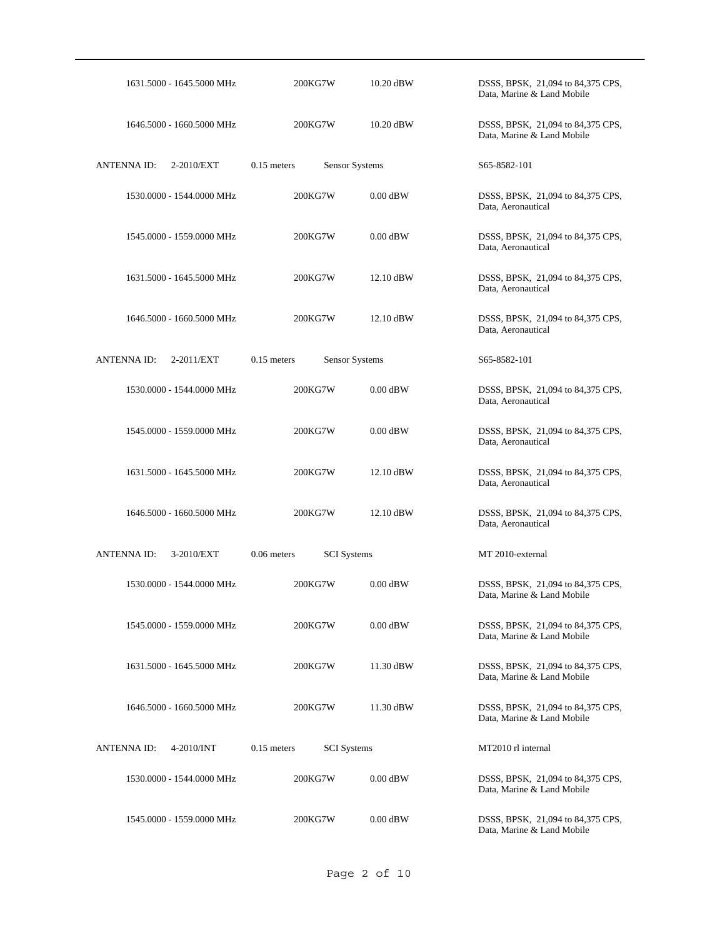| 1631.5000 - 1645.5000 MHz        | 200KG7W                             | 10.20 dBW  | DSSS, BPSK, 21,094 to 84,375 CPS,<br>Data, Marine & Land Mobile |
|----------------------------------|-------------------------------------|------------|-----------------------------------------------------------------|
| 1646.5000 - 1660.5000 MHz        | 200KG7W                             | 10.20 dBW  | DSSS, BPSK, 21,094 to 84,375 CPS,<br>Data, Marine & Land Mobile |
| ANTENNA ID:<br>2-2010/EXT        | Sensor Systems<br>$0.15$ meters     |            | S65-8582-101                                                    |
| 1530.0000 - 1544.0000 MHz        | 200KG7W                             | $0.00$ dBW | DSSS, BPSK, 21,094 to 84,375 CPS,<br>Data, Aeronautical         |
| 1545.0000 - 1559.0000 MHz        | 200KG7W                             | $0.00$ dBW | DSSS, BPSK, 21,094 to 84,375 CPS,<br>Data, Aeronautical         |
| 1631.5000 - 1645.5000 MHz        | 200KG7W                             | 12.10 dBW  | DSSS, BPSK, 21,094 to 84,375 CPS,<br>Data, Aeronautical         |
| 1646.5000 - 1660.5000 MHz        | 200KG7W                             | 12.10 dBW  | DSSS, BPSK, 21,094 to 84,375 CPS,<br>Data, Aeronautical         |
| <b>ANTENNA ID:</b><br>2-2011/EXT | $0.15$ meters<br>Sensor Systems     |            | S65-8582-101                                                    |
| 1530.0000 - 1544.0000 MHz        | 200KG7W                             | $0.00$ dBW | DSSS, BPSK, 21,094 to 84,375 CPS,<br>Data, Aeronautical         |
| 1545.0000 - 1559.0000 MHz        | 200KG7W                             | $0.00$ dBW | DSSS, BPSK, 21,094 to 84,375 CPS,<br>Data, Aeronautical         |
| 1631.5000 - 1645.5000 MHz        | 200KG7W                             | 12.10 dBW  | DSSS, BPSK, 21,094 to 84,375 CPS,<br>Data, Aeronautical         |
| 1646.5000 - 1660.5000 MHz        | 200KG7W                             | 12.10 dBW  | DSSS, BPSK, 21,094 to 84,375 CPS,<br>Data, Aeronautical         |
| <b>ANTENNAID:</b><br>3-2010/EXT  | $0.06$ meters<br><b>SCI</b> Systems |            | MT 2010-external                                                |
| 1530.0000 - 1544.0000 MHz        | 200KG7W                             | $0.00$ dBW | DSSS, BPSK, 21,094 to 84,375 CPS,<br>Data, Marine & Land Mobile |
| 1545.0000 - 1559.0000 MHz        | 200KG7W                             | $0.00$ dBW | DSSS, BPSK, 21,094 to 84,375 CPS,<br>Data, Marine & Land Mobile |
| 1631.5000 - 1645.5000 MHz        | 200KG7W                             | 11.30 dBW  | DSSS, BPSK, 21,094 to 84,375 CPS,<br>Data, Marine & Land Mobile |
| 1646.5000 - 1660.5000 MHz        | 200KG7W                             | 11.30 dBW  | DSSS, BPSK, 21,094 to 84,375 CPS,<br>Data, Marine & Land Mobile |
| <b>ANTENNAID:</b><br>4-2010/INT  | $0.15$ meters<br><b>SCI</b> Systems |            | MT2010 rl internal                                              |
| 1530.0000 - 1544.0000 MHz        | 200KG7W                             | $0.00$ dBW | DSSS, BPSK, 21,094 to 84,375 CPS,<br>Data, Marine & Land Mobile |
| 1545.0000 - 1559.0000 MHz        | 200KG7W                             | $0.00$ dBW | DSSS, BPSK, 21,094 to 84,375 CPS,<br>Data, Marine & Land Mobile |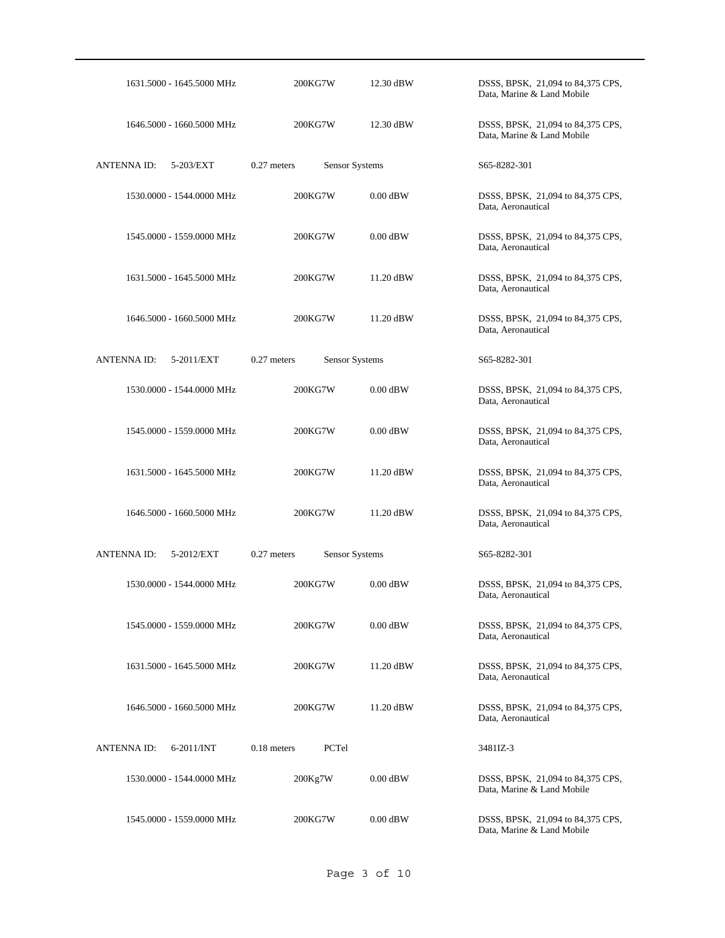| 1631.5000 - 1645.5000 MHz       | 200KG7W                         | 12.30 dBW  | DSSS, BPSK, 21,094 to 84,375 CPS,<br>Data, Marine & Land Mobile |
|---------------------------------|---------------------------------|------------|-----------------------------------------------------------------|
| 1646.5000 - 1660.5000 MHz       | 200KG7W                         | 12.30 dBW  | DSSS, BPSK, 21,094 to 84,375 CPS,<br>Data, Marine & Land Mobile |
| ANTENNA ID:<br>5-203/EXT        | $0.27$ meters<br>Sensor Systems |            | S65-8282-301                                                    |
| 1530.0000 - 1544.0000 MHz       | 200KG7W                         | $0.00$ dBW | DSSS, BPSK, 21,094 to 84,375 CPS,<br>Data, Aeronautical         |
| 1545,0000 - 1559,0000 MHz       | 200KG7W                         | $0.00$ dBW | DSSS, BPSK, 21,094 to 84,375 CPS,<br>Data, Aeronautical         |
| 1631.5000 - 1645.5000 MHz       | 200KG7W                         | 11.20 dBW  | DSSS, BPSK, 21,094 to 84,375 CPS,<br>Data, Aeronautical         |
| 1646.5000 - 1660.5000 MHz       | 200KG7W                         | 11.20 dBW  | DSSS, BPSK, 21,094 to 84,375 CPS,<br>Data, Aeronautical         |
| <b>ANTENNAID:</b><br>5-2011/EXT | $0.27$ meters<br>Sensor Systems |            | S65-8282-301                                                    |
| 1530.0000 - 1544.0000 MHz       | 200KG7W                         | $0.00$ dBW | DSSS, BPSK, 21,094 to 84,375 CPS,<br>Data, Aeronautical         |
| 1545.0000 - 1559.0000 MHz       | 200KG7W                         | $0.00$ dBW | DSSS, BPSK, 21,094 to 84,375 CPS,<br>Data, Aeronautical         |
| 1631.5000 - 1645.5000 MHz       | 200KG7W                         | 11.20 dBW  | DSSS, BPSK, 21,094 to 84,375 CPS,<br>Data, Aeronautical         |
| 1646.5000 - 1660.5000 MHz       | 200KG7W                         | 11.20 dBW  | DSSS, BPSK, 21,094 to 84,375 CPS,<br>Data, Aeronautical         |
| <b>ANTENNAID:</b><br>5-2012/EXT | 0.27 meters<br>Sensor Systems   |            | S65-8282-301                                                    |
| 1530.0000 - 1544.0000 MHz       | 200KG7W                         | $0.00$ dBW | DSSS, BPSK, 21,094 to 84,375 CPS,<br>Data, Aeronautical         |
| 1545.0000 - 1559.0000 MHz       | 200KG7W                         | $0.00$ dBW | DSSS, BPSK, 21,094 to 84,375 CPS,<br>Data, Aeronautical         |
| 1631.5000 - 1645.5000 MHz       | 200KG7W                         | 11.20 dBW  | DSSS, BPSK, 21,094 to 84,375 CPS,<br>Data, Aeronautical         |
| 1646.5000 - 1660.5000 MHz       | 200KG7W                         | 11.20 dBW  | DSSS, BPSK, 21,094 to 84,375 CPS,<br>Data, Aeronautical         |
| ANTENNA ID:<br>$6-2011/INT$     | $0.18$ meters<br>PCTel          |            | 3481IZ-3                                                        |
| 1530.0000 - 1544.0000 MHz       | 200Kg7W                         | $0.00$ dBW | DSSS, BPSK, 21,094 to 84,375 CPS,<br>Data, Marine & Land Mobile |
| 1545.0000 - 1559.0000 MHz       | 200KG7W                         | $0.00$ dBW | DSSS, BPSK, 21,094 to 84,375 CPS,<br>Data, Marine & Land Mobile |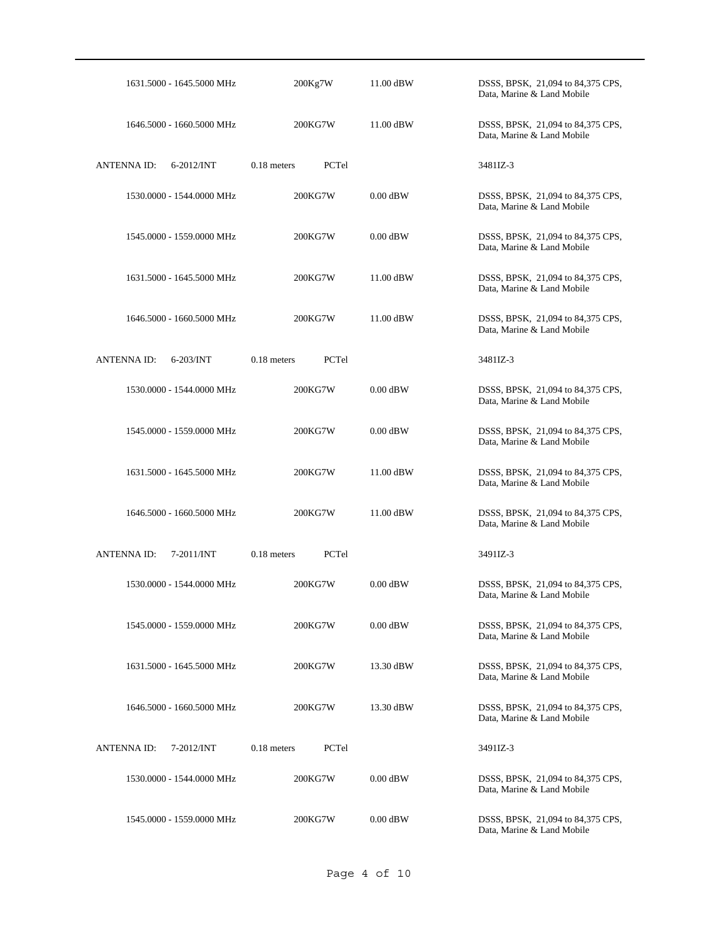| 1631.5000 - 1645.5000 MHz            | 200Kg7W                | 11.00 dBW  | DSSS, BPSK, 21,094 to 84,375 CPS,<br>Data, Marine & Land Mobile |
|--------------------------------------|------------------------|------------|-----------------------------------------------------------------|
| 1646.5000 - 1660.5000 MHz            | 200KG7W                | 11.00 dBW  | DSSS, BPSK, 21,094 to 84,375 CPS,<br>Data, Marine & Land Mobile |
| ANTENNA ID:<br>$6 - 2012$ /INT       | $0.18$ meters<br>PCTel |            | 3481IZ-3                                                        |
| 1530.0000 - 1544.0000 MHz            | 200KG7W                | $0.00$ dBW | DSSS, BPSK, 21,094 to 84,375 CPS,<br>Data, Marine & Land Mobile |
| 1545.0000 - 1559.0000 MHz            | 200KG7W                | $0.00$ dBW | DSSS, BPSK, 21,094 to 84,375 CPS,<br>Data, Marine & Land Mobile |
| 1631.5000 - 1645.5000 MHz            | 200KG7W                | 11.00 dBW  | DSSS, BPSK, 21,094 to 84,375 CPS,<br>Data, Marine & Land Mobile |
| 1646.5000 - 1660.5000 MHz            | 200KG7W                | 11.00 dBW  | DSSS, BPSK, 21,094 to 84,375 CPS,<br>Data, Marine & Land Mobile |
| <b>ANTENNA ID:</b><br>$6-203/INT$    | $0.18$ meters<br>PCTel |            | 3481IZ-3                                                        |
| 1530.0000 - 1544.0000 MHz            | 200KG7W                | $0.00$ dBW | DSSS, BPSK, 21,094 to 84,375 CPS,<br>Data, Marine & Land Mobile |
| 1545.0000 - 1559.0000 MHz            | 200KG7W                | $0.00$ dBW | DSSS, BPSK, 21,094 to 84,375 CPS,<br>Data, Marine & Land Mobile |
| 1631.5000 - 1645.5000 MHz            | 200KG7W                | 11.00 dBW  | DSSS, BPSK, 21,094 to 84,375 CPS,<br>Data, Marine & Land Mobile |
| 1646.5000 - 1660.5000 MHz            | 200KG7W                | 11.00 dBW  | DSSS, BPSK, 21,094 to 84,375 CPS,<br>Data, Marine & Land Mobile |
| <b>ANTENNA ID:</b><br>$7 - 2011/INT$ | 0.18 meters<br>PCTel   |            | 3491IZ-3                                                        |
| 1530,0000 - 1544,0000 MHz            | 200KG7W                | $0.00$ dBW | DSSS, BPSK, 21,094 to 84,375 CPS,<br>Data, Marine & Land Mobile |
| 1545.0000 - 1559.0000 MHz            | 200KG7W                | $0.00$ dBW | DSSS, BPSK, 21,094 to 84,375 CPS,<br>Data, Marine & Land Mobile |
| 1631.5000 - 1645.5000 MHz            | 200KG7W                | 13.30 dBW  | DSSS, BPSK, 21,094 to 84,375 CPS,<br>Data, Marine & Land Mobile |
| 1646.5000 - 1660.5000 MHz            | 200KG7W                | 13.30 dBW  | DSSS, BPSK, 21,094 to 84,375 CPS,<br>Data, Marine & Land Mobile |
| <b>ANTENNAID:</b><br>7-2012/INT      | $0.18$ meters<br>PCTel |            | 3491IZ-3                                                        |
| 1530.0000 - 1544.0000 MHz            | 200KG7W                | $0.00$ dBW | DSSS, BPSK, 21,094 to 84,375 CPS,<br>Data, Marine & Land Mobile |
| 1545.0000 - 1559.0000 MHz            | 200KG7W                | $0.00$ dBW | DSSS, BPSK, 21,094 to 84,375 CPS,<br>Data, Marine & Land Mobile |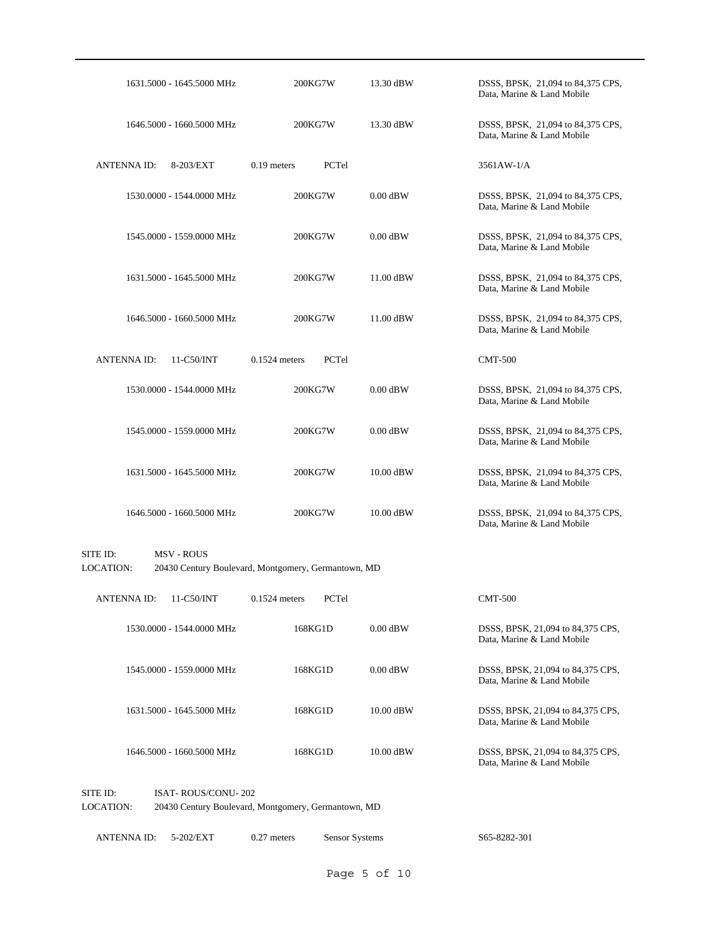|           |                    | 1631.5000 - 1645.5000 MHz                           |                 | 200KG7W | 13.30 dBW   | DSSS, BPSK, 21,094 to 84,375 CPS,<br>Data, Marine & Land Mobile |  |
|-----------|--------------------|-----------------------------------------------------|-----------------|---------|-------------|-----------------------------------------------------------------|--|
|           |                    | 1646.5000 - 1660.5000 MHz                           |                 | 200KG7W | 13.30 dBW   | DSSS, BPSK, 21,094 to 84,375 CPS,<br>Data, Marine & Land Mobile |  |
|           | <b>ANTENNA ID:</b> | 8-203/EXT                                           | $0.19$ meters   | PCTel   |             | 3561AW-1/A                                                      |  |
|           |                    | 1530.0000 - 1544.0000 MHz                           |                 | 200KG7W | $0.00$ dBW  | DSSS, BPSK, 21,094 to 84,375 CPS,<br>Data, Marine & Land Mobile |  |
|           |                    | 1545.0000 - 1559.0000 MHz                           |                 | 200KG7W | $0.00$ dBW  | DSSS, BPSK, 21,094 to 84,375 CPS,<br>Data, Marine & Land Mobile |  |
|           |                    | 1631.5000 - 1645.5000 MHz                           |                 | 200KG7W | 11.00 dBW   | DSSS, BPSK, 21,094 to 84,375 CPS,<br>Data, Marine & Land Mobile |  |
|           |                    | 1646.5000 - 1660.5000 MHz                           |                 | 200KG7W | 11.00 dBW   | DSSS, BPSK, 21,094 to 84,375 CPS,<br>Data, Marine & Land Mobile |  |
|           | <b>ANTENNAID:</b>  | 11-C50/INT                                          | $0.1524$ meters | PCTel   |             | <b>CMT-500</b>                                                  |  |
|           |                    | 1530.0000 - 1544.0000 MHz                           |                 | 200KG7W | $0.00$ dBW  | DSSS, BPSK, 21,094 to 84,375 CPS,<br>Data, Marine & Land Mobile |  |
|           |                    | 1545.0000 - 1559.0000 MHz                           |                 | 200KG7W | $0.00$ dBW  | DSSS, BPSK, 21,094 to 84,375 CPS,<br>Data, Marine & Land Mobile |  |
|           |                    | 1631.5000 - 1645.5000 MHz                           |                 | 200KG7W | 10.00 dBW   | DSSS, BPSK, 21,094 to 84,375 CPS,<br>Data, Marine & Land Mobile |  |
|           |                    | 1646.5000 - 1660.5000 MHz                           |                 | 200KG7W | 10.00 dBW   | DSSS, BPSK, 21,094 to 84,375 CPS,<br>Data, Marine & Land Mobile |  |
| SITE ID:  |                    | <b>MSV - ROUS</b>                                   |                 |         |             |                                                                 |  |
| LOCATION: |                    | 20430 Century Boulevard, Montgomery, Germantown, MD |                 |         |             |                                                                 |  |
|           | <b>ANTENNAID:</b>  | 11-C50/INT                                          | $0.1524$ meters | PCTel   |             | <b>CMT-500</b>                                                  |  |
|           |                    | 1530.0000 - 1544.0000 MHz                           |                 | 168KG1D | $0.00$ dBW  | DSSS, BPSK, 21,094 to 84,375 CPS,<br>Data, Marine & Land Mobile |  |
|           |                    | 1545.0000 - 1559.0000 MHz                           |                 | 168KG1D | $0.00$ dBW  | DSSS, BPSK, 21,094 to 84,375 CPS,<br>Data, Marine & Land Mobile |  |
|           |                    | 1631.5000 - 1645.5000 MHz                           |                 | 168KG1D | $10.00$ dBW | DSSS, BPSK, 21,094 to 84,375 CPS,<br>Data, Marine & Land Mobile |  |
|           |                    | 1646.5000 - 1660.5000 MHz                           |                 | 168KG1D | $10.00$ dBW | DSSS, BPSK, 21,094 to 84,375 CPS,<br>Data, Marine & Land Mobile |  |
| SITE ID:  |                    | ISAT-ROUS/CONU-202                                  |                 |         |             |                                                                 |  |

LOCATION: 20430 Century Boulevard, Montgomery, Germantown, MD

```
ANTENNA ID: 5-202/EXT 0.27 meters Sensor Systems S65-8282-301
```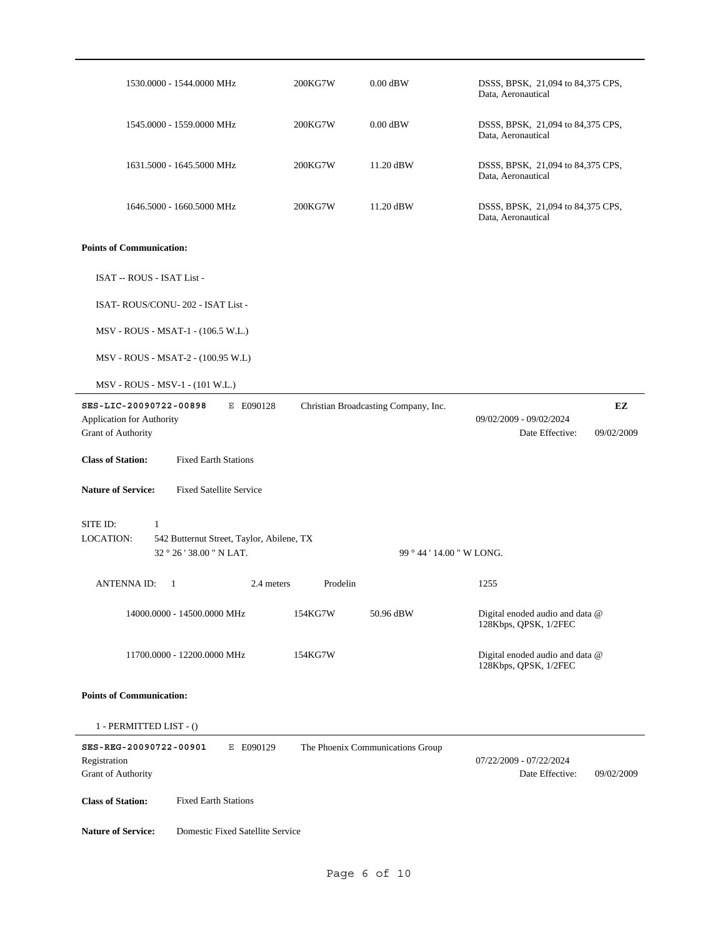| 1530.0000 - 1544.0000 MHz                                                                     | 200KG7W  | $0.00$ dBW                           | DSSS, BPSK, 21,094 to 84,375 CPS,<br>Data, Aeronautical  |                  |
|-----------------------------------------------------------------------------------------------|----------|--------------------------------------|----------------------------------------------------------|------------------|
| 1545.0000 - 1559.0000 MHz                                                                     | 200KG7W  | $0.00$ dBW                           | DSSS, BPSK, 21,094 to 84,375 CPS,<br>Data, Aeronautical  |                  |
| 1631.5000 - 1645.5000 MHz                                                                     | 200KG7W  | 11.20 dBW                            | DSSS, BPSK, 21,094 to 84,375 CPS,<br>Data, Aeronautical  |                  |
| 1646.5000 - 1660.5000 MHz                                                                     | 200KG7W  | 11.20 dBW                            | DSSS, BPSK, 21,094 to 84,375 CPS,<br>Data, Aeronautical  |                  |
| <b>Points of Communication:</b>                                                               |          |                                      |                                                          |                  |
| ISAT -- ROUS - ISAT List -                                                                    |          |                                      |                                                          |                  |
| ISAT-ROUS/CONU-202 - ISAT List -                                                              |          |                                      |                                                          |                  |
| MSV - ROUS - MSAT-1 - (106.5 W.L.)                                                            |          |                                      |                                                          |                  |
| MSV - ROUS - MSAT-2 - (100.95 W.L)                                                            |          |                                      |                                                          |                  |
| MSV - ROUS - MSV-1 - (101 W.L.)                                                               |          |                                      |                                                          |                  |
| SES-LIC-20090722-00898<br>E E090128<br>Application for Authority<br><b>Grant of Authority</b> |          | Christian Broadcasting Company, Inc. | 09/02/2009 - 09/02/2024<br>Date Effective:               | EZ<br>09/02/2009 |
| <b>Class of Station:</b><br><b>Fixed Earth Stations</b>                                       |          |                                      |                                                          |                  |
| <b>Nature of Service:</b><br><b>Fixed Satellite Service</b>                                   |          |                                      |                                                          |                  |
| SITE ID:<br>1                                                                                 |          |                                      |                                                          |                  |
| <b>LOCATION:</b><br>542 Butternut Street, Taylor, Abilene, TX<br>32 ° 26 ' 38.00 " N LAT.     |          | 99 ° 44 ' 14.00 " W LONG.            |                                                          |                  |
| <b>ANTENNA ID:</b><br>$\overline{1}$<br>2.4 meters                                            | Prodelin |                                      | 1255                                                     |                  |
| 14000.0000 - 14500.0000 MHz                                                                   | 154KG7W  | 50.96 dBW                            | Digital enoded audio and data @<br>128Kbps, QPSK, 1/2FEC |                  |
| 11700.0000 - 12200.0000 MHz                                                                   | 154KG7W  |                                      | Digital enoded audio and data @<br>128Kbps, QPSK, 1/2FEC |                  |
| <b>Points of Communication:</b>                                                               |          |                                      |                                                          |                  |
| 1 - PERMITTED LIST - ()                                                                       |          |                                      |                                                          |                  |
| SES-REG-20090722-00901<br>E E090129<br>Registration<br><b>Grant of Authority</b>              |          | The Phoenix Communications Group     | 07/22/2009 - 07/22/2024<br>Date Effective:               | 09/02/2009       |
| <b>Fixed Earth Stations</b><br><b>Class of Station:</b>                                       |          |                                      |                                                          |                  |
| <b>Nature of Service:</b><br>Domestic Fixed Satellite Service                                 |          |                                      |                                                          |                  |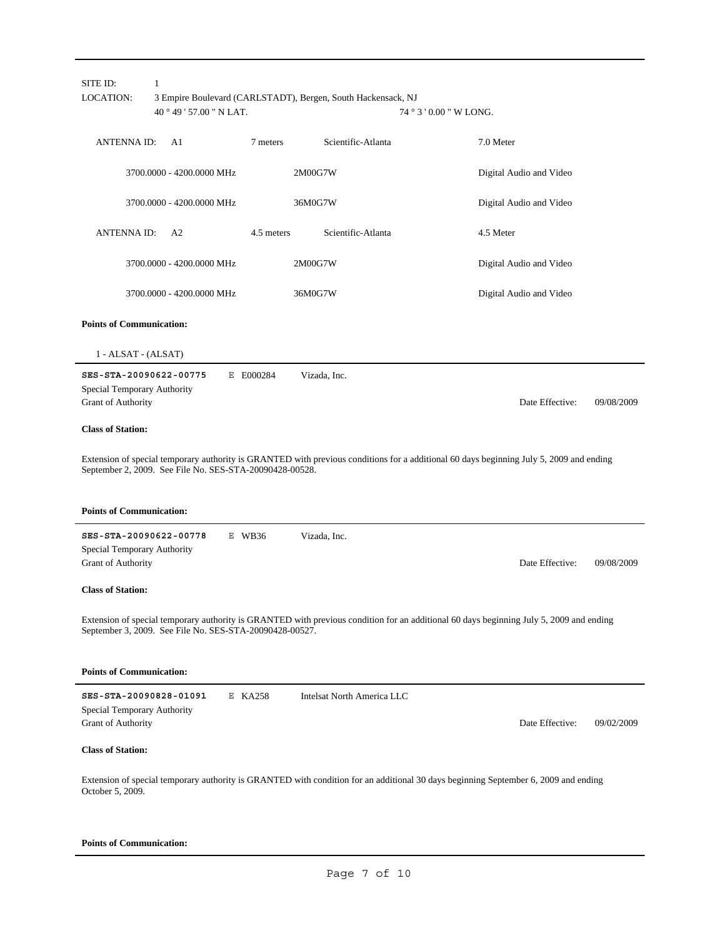| SITE ID:<br><b>LOCATION:</b>                                                               | $\mathbf{1}$<br>40°49'57.00" NLAT. |            | 3 Empire Boulevard (CARLSTADT), Bergen, South Hackensack, NJ | $74°3'0.00''$ W LONG.                                                                                                                   |            |
|--------------------------------------------------------------------------------------------|------------------------------------|------------|--------------------------------------------------------------|-----------------------------------------------------------------------------------------------------------------------------------------|------------|
| <b>ANTENNAID:</b>                                                                          | A <sub>1</sub>                     | 7 meters   | Scientific-Atlanta                                           | 7.0 Meter                                                                                                                               |            |
|                                                                                            | 3700.0000 - 4200.0000 MHz          |            | 2M00G7W                                                      | Digital Audio and Video                                                                                                                 |            |
|                                                                                            | 3700.0000 - 4200.0000 MHz          |            | 36M0G7W                                                      | Digital Audio and Video                                                                                                                 |            |
| <b>ANTENNAID:</b>                                                                          | A <sub>2</sub>                     | 4.5 meters | Scientific-Atlanta                                           | 4.5 Meter                                                                                                                               |            |
|                                                                                            | 3700.0000 - 4200.0000 MHz          |            | 2M00G7W                                                      | Digital Audio and Video                                                                                                                 |            |
|                                                                                            | 3700.0000 - 4200.0000 MHz          |            | 36M0G7W                                                      | Digital Audio and Video                                                                                                                 |            |
| <b>Points of Communication:</b>                                                            |                                    |            |                                                              |                                                                                                                                         |            |
| $1 - ALSAT - (ALSAT)$                                                                      |                                    |            |                                                              |                                                                                                                                         |            |
| SES-STA-20090622-00775<br>Special Temporary Authority<br>Grant of Authority                |                                    | E E000284  | Vizada, Inc.                                                 | Date Effective:                                                                                                                         | 09/08/2009 |
| <b>Class of Station:</b>                                                                   |                                    |            |                                                              |                                                                                                                                         |            |
| September 2, 2009. See File No. SES-STA-20090428-00528.<br><b>Points of Communication:</b> |                                    |            |                                                              | Extension of special temporary authority is GRANTED with previous conditions for a additional 60 days beginning July 5, 2009 and ending |            |
| SES-STA-20090622-00778<br>Special Temporary Authority<br><b>Grant of Authority</b>         |                                    | E WB36     | Vizada, Inc.                                                 | Date Effective:                                                                                                                         | 09/08/2009 |
| <b>Class of Station:</b>                                                                   |                                    |            |                                                              |                                                                                                                                         |            |
| September 3, 2009. See File No. SES-STA-20090428-00527.                                    |                                    |            |                                                              | Extension of special temporary authority is GRANTED with previous condition for an additional 60 days beginning July 5, 2009 and ending |            |
| <b>Points of Communication:</b>                                                            |                                    |            |                                                              |                                                                                                                                         |            |
| SES-STA-20090828-01091<br>Special Temporary Authority<br>Grant of Authority                |                                    | E KA258    | Intelsat North America LLC                                   | Date Effective:                                                                                                                         | 09/02/2009 |
| <b>Class of Station:</b>                                                                   |                                    |            |                                                              |                                                                                                                                         |            |
| October 5, 2009.                                                                           |                                    |            |                                                              | Extension of special temporary authority is GRANTED with condition for an additional 30 days beginning September 6, 2009 and ending     |            |

#### **Points of Communication:**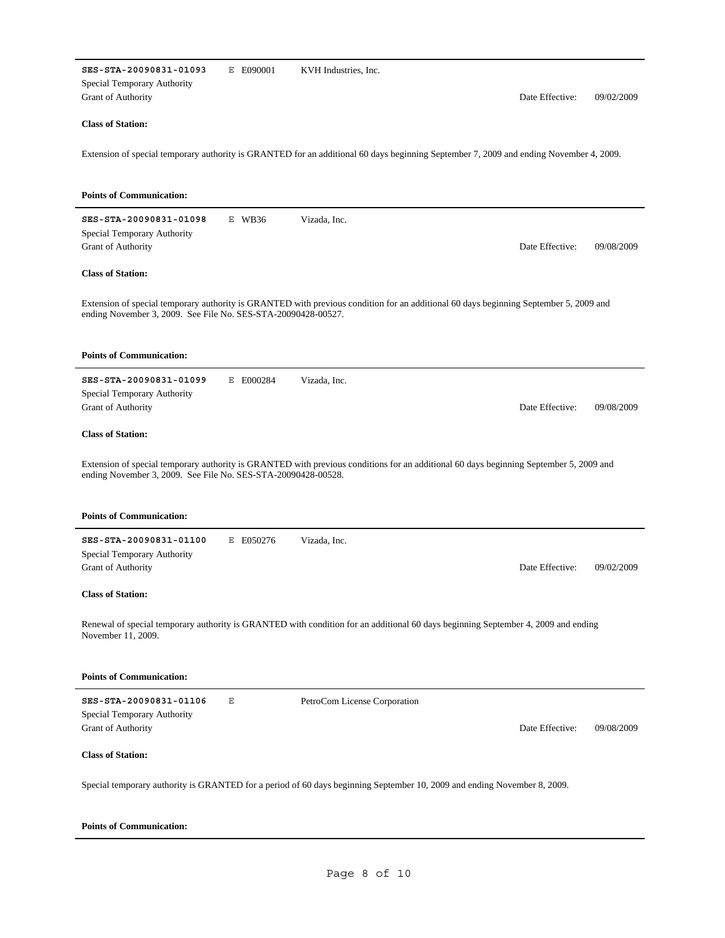| SES-STA-20090831-01093<br>E E090001<br>KVH Industries, Inc.<br>Special Temporary Authority<br>Grant of Authority                                                                                        | Date Effective: | 09/02/2009 |
|---------------------------------------------------------------------------------------------------------------------------------------------------------------------------------------------------------|-----------------|------------|
| <b>Class of Station:</b>                                                                                                                                                                                |                 |            |
| Extension of special temporary authority is GRANTED for an additional 60 days beginning September 7, 2009 and ending November 4, 2009.                                                                  |                 |            |
| <b>Points of Communication:</b>                                                                                                                                                                         |                 |            |
| SES-STA-20090831-01098<br>$E$ WB36<br>Vizada, Inc.<br>Special Temporary Authority<br>Grant of Authority                                                                                                 | Date Effective: | 09/08/2009 |
| <b>Class of Station:</b>                                                                                                                                                                                |                 |            |
| Extension of special temporary authority is GRANTED with previous condition for an additional 60 days beginning September 5, 2009 and<br>ending November 3, 2009. See File No. SES-STA-20090428-00527.  |                 |            |
| <b>Points of Communication:</b>                                                                                                                                                                         |                 |            |
| SES-STA-20090831-01099<br>E E000284<br>Vizada, Inc.<br>Special Temporary Authority<br>Grant of Authority                                                                                                | Date Effective: | 09/08/2009 |
| <b>Class of Station:</b>                                                                                                                                                                                |                 |            |
| Extension of special temporary authority is GRANTED with previous conditions for an additional 60 days beginning September 5, 2009 and<br>ending November 3, 2009. See File No. SES-STA-20090428-00528. |                 |            |
| <b>Points of Communication:</b>                                                                                                                                                                         |                 |            |
| SES-STA-20090831-01100<br>E E050276<br>Vizada, Inc.<br>Special Temporary Authority<br><b>Grant of Authority</b>                                                                                         | Date Effective: | 09/02/2009 |
| <b>Class of Station:</b>                                                                                                                                                                                |                 |            |
| Renewal of special temporary authority is GRANTED with condition for an additional 60 days beginning September 4, 2009 and ending<br>November 11, 2009.                                                 |                 |            |
| <b>Points of Communication:</b>                                                                                                                                                                         |                 |            |
| SES-STA-20090831-01106<br>Ε<br>PetroCom License Corporation<br>Special Temporary Authority<br>Grant of Authority                                                                                        | Date Effective: | 09/08/2009 |
| <b>Class of Station:</b>                                                                                                                                                                                |                 |            |
| Special temporary authority is GRANTED for a period of 60 days beginning September 10, 2009 and ending November 8, 2009.                                                                                |                 |            |

| <b>Points of Communication:</b> |  |
|---------------------------------|--|
|---------------------------------|--|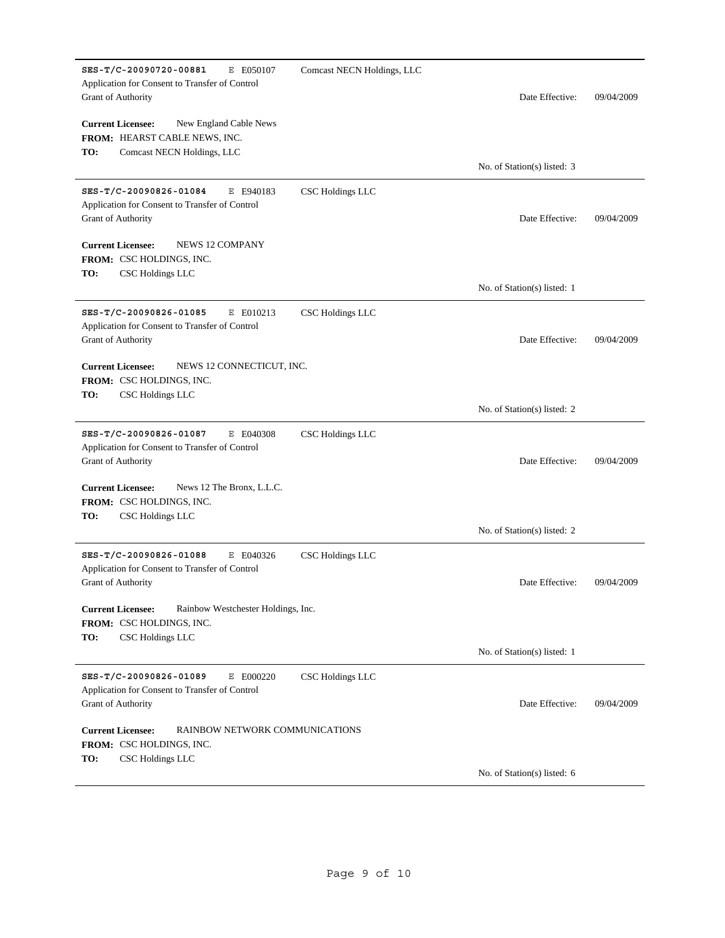| SES-T/C-20090720-00881<br>E E050107<br>Application for Consent to Transfer of Control<br><b>Grant of Authority</b>       | Comcast NECN Holdings, LLC | Date Effective:             | 09/04/2009 |
|--------------------------------------------------------------------------------------------------------------------------|----------------------------|-----------------------------|------------|
| <b>Current Licensee:</b><br>New England Cable News<br>FROM: HEARST CABLE NEWS, INC.<br>Comcast NECN Holdings, LLC<br>TO: |                            |                             |            |
|                                                                                                                          |                            | No. of Station(s) listed: 3 |            |
| SES-T/C-20090826-01084<br>E E940183<br>Application for Consent to Transfer of Control<br>Grant of Authority              | CSC Holdings LLC           | Date Effective:             | 09/04/2009 |
| <b>Current Licensee:</b><br><b>NEWS 12 COMPANY</b><br><b>FROM: CSC HOLDINGS, INC.</b><br>TO:<br>CSC Holdings LLC         |                            |                             |            |
|                                                                                                                          |                            | No. of Station(s) listed: 1 |            |
| SES-T/C-20090826-01085<br>E E010213<br>Application for Consent to Transfer of Control<br>Grant of Authority              | <b>CSC Holdings LLC</b>    | Date Effective:             | 09/04/2009 |
| <b>Current Licensee:</b><br>NEWS 12 CONNECTICUT, INC.<br><b>FROM: CSC HOLDINGS, INC.</b><br>CSC Holdings LLC<br>TO:      |                            |                             |            |
|                                                                                                                          |                            | No. of Station(s) listed: 2 |            |
| SES-T/C-20090826-01087<br>E E040308<br>Application for Consent to Transfer of Control<br>Grant of Authority              | CSC Holdings LLC           | Date Effective:             | 09/04/2009 |
| <b>Current Licensee:</b><br>News 12 The Bronx, L.L.C.<br><b>FROM: CSC HOLDINGS, INC.</b><br>CSC Holdings LLC<br>TO:      |                            |                             |            |
|                                                                                                                          |                            | No. of Station(s) listed: 2 |            |
| SES-T/C-20090826-01088<br>E E040326<br>Application for Consent to Transfer of Control<br>Grant of Authority              | CSC Holdings LLC           | Date Effective:             | 09/04/2009 |
| Rainbow Westchester Holdings, Inc.<br><b>Current Licensee:</b><br>FROM: CSC HOLDINGS, INC.<br>TO:<br>CSC Holdings LLC    |                            |                             |            |
|                                                                                                                          |                            | No. of Station(s) listed: 1 |            |
| SES-T/C-20090826-01089<br>E E000220<br>Application for Consent to Transfer of Control<br>Grant of Authority              | CSC Holdings LLC           | Date Effective:             | 09/04/2009 |
| <b>Current Licensee:</b><br>RAINBOW NETWORK COMMUNICATIONS<br>FROM: CSC HOLDINGS, INC.<br>TO:<br>CSC Holdings LLC        |                            |                             |            |
|                                                                                                                          |                            | No. of Station(s) listed: 6 |            |